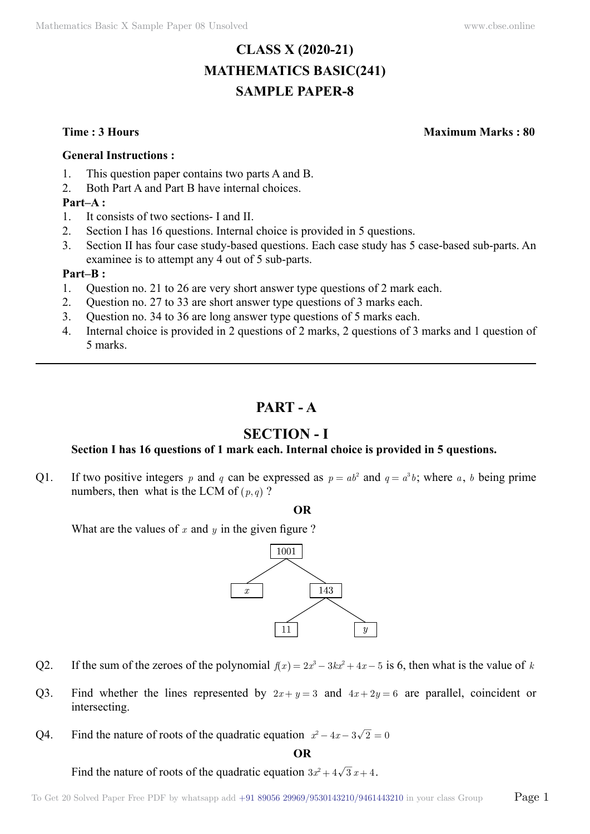# **CLASS X (2020-21) MATHEMATICS BASIC(241) SAMPLE PAPER-8**

**Time : 3 Hours Maximum Marks : 80**

#### **General Instructions :**

- 1. This question paper contains two parts A and B.
- 2. Both Part A and Part B have internal choices.

### **Part–A :**

- 1. It consists of two sections- I and II.
- 2. Section I has 16 questions. Internal choice is provided in 5 questions.
- 3. Section II has four case study-based questions. Each case study has 5 case-based sub-parts. An examinee is to attempt any 4 out of 5 sub-parts.

#### **Part–B :**

- 1. Question no. 21 to 26 are very short answer type questions of 2 mark each.
- 2. Question no. 27 to 33 are short answer type questions of 3 marks each.
- 3. Question no. 34 to 36 are long answer type questions of 5 marks each.
- 4. Internal choice is provided in 2 questions of 2 marks, 2 questions of 3 marks and 1 question of 5 marks.

# **Part - A**

# **Section - I**

## **Section I has 16 questions of 1 mark each. Internal choice is provided in 5 questions.**

Q1. If two positive integers p and q can be expressed as  $p = ab^2$  and  $q = a^3b$ ; where a, b being prime numbers, then what is the LCM of  $(p, q)$  ?

 **O**

What are the values of  $x$  and  $y$  in the given figure ?



- Q2. If the sum of the zeroes of the polynomial  $f(x) = 2x^3 3kx^2 + 4x 5$  is 6, then what is the value of *k*
- Q3. Find whether the lines represented by  $2x + y = 3$  and  $4x + 2y = 6$  are parallel, coincident or intersecting.
- Q4. Find the nature of roots of the quadratic equation  $x^2 4x 3\sqrt{2} = 0$

 **O**

Find the nature of roots of the quadratic equation  $3x^2 + 4\sqrt{3}x + 4$ .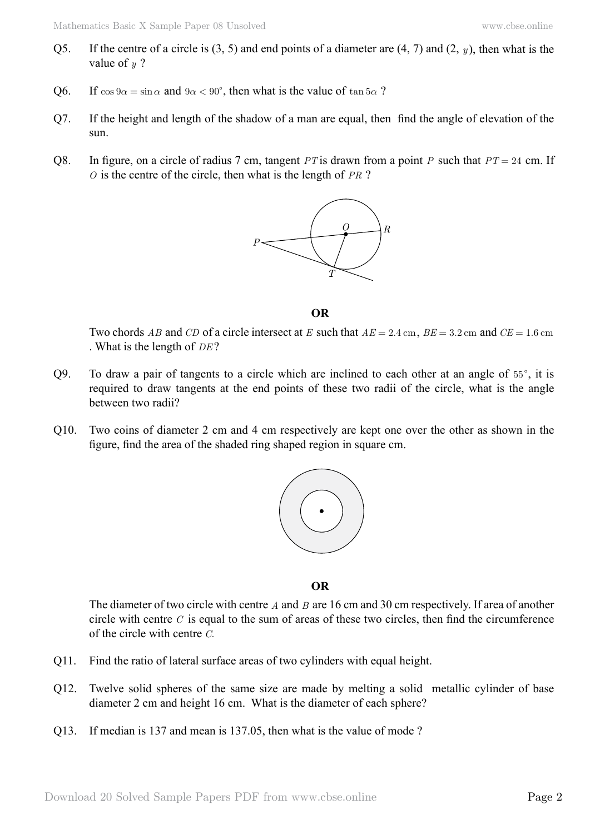- Q5. If the centre of a circle is (3, 5) and end points of a diameter are (4, 7) and (2, *y* ), then what is the value of *y* ?
- Q6. If  $\cos 9\alpha = \sin \alpha$  and  $9\alpha < 90^{\circ}$ , then what is the value of  $\tan 5\alpha$ ?
- Q7. If the height and length of the shadow of a man are equal, then find the angle of elevation of the sun.
- Q8. In figure, on a circle of radius 7 cm, tangent *PT* is drawn from a point *P* such that *PT* = 24 cm. If *O* is the centre of the circle, then what is the length of *PR* ?



 **O**

Two chords *AB* and *CD* of a circle intersect at *E* such that  $AE = 2.4$  cm,  $BE = 3.2$  cm and  $CE = 1.6$  cm . What is the length of *DE* ?

- $Q9.$  To draw a pair of tangents to a circle which are inclined to each other at an angle of  $55^\circ$ , it is required to draw tangents at the end points of these two radii of the circle, what is the angle between two radii?
- Q10. Two coins of diameter 2 cm and 4 cm respectively are kept one over the other as shown in the figure, find the area of the shaded ring shaped region in square cm.



 **O**

The diameter of two circle with centre *A* and *B* are 16 cm and 30 cm respectively. If area of another circle with centre *C* is equal to the sum of areas of these two circles, then find the circumference of the circle with centre *C*.

- Q11. Find the ratio of lateral surface areas of two cylinders with equal height.
- Q12. Twelve solid spheres of the same size are made by melting a solid metallic cylinder of base diameter 2 cm and height 16 cm. What is the diameter of each sphere?
- Q13. If median is 137 and mean is 137.05, then what is the value of mode ?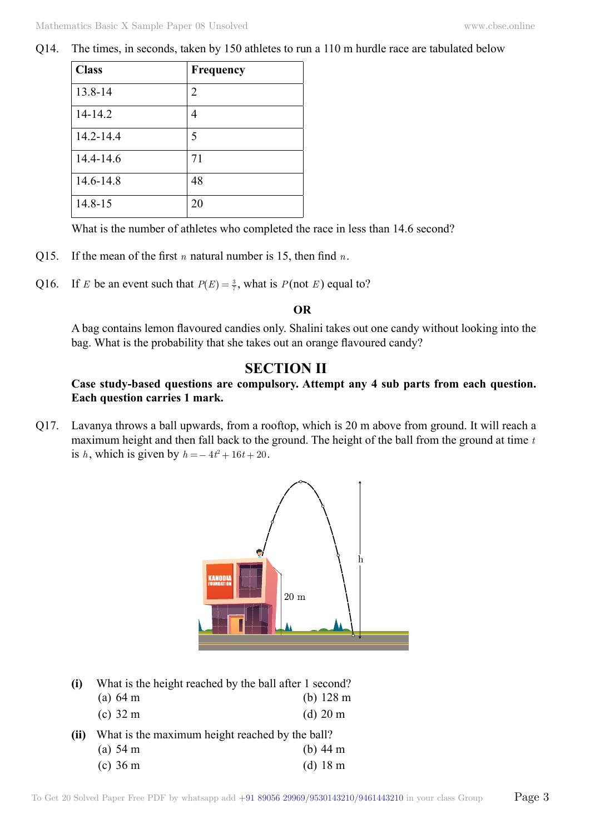Q14. The times, in seconds, taken by 150 athletes to run a 110 m hurdle race are tabulated below

| <b>Class</b> | Frequency |
|--------------|-----------|
| 13.8-14      | 2         |
| 14-14.2      | 4         |
| 14.2-14.4    | 5         |
| 14.4-14.6    | 71        |
| 14.6-14.8    | 48        |
| 14.8-15      | 20        |

What is the number of athletes who completed the race in less than 14.6 second?

- Q15. If the mean of the first *n* natural number is 15, then find *n*.
- Q16. If *E* be an event such that  $P(E) = \frac{3}{7}$ , what is  $P(\text{not } E)$  equal to?

#### **O**

A bag contains lemon flavoured candies only. Shalini takes out one candy without looking into the bag. What is the probability that she takes out an orange flavoured candy?

## **Section II**

## **Case study-based questions are compulsory. Attempt any 4 sub parts from each question. Each question carries 1 mark.**

Q17. Lavanya throws a ball upwards, from a rooftop, which is 20 m above from ground. It will reach a maximum height and then fall back to the ground. The height of the ball from the ground at time *t* is *h*, which is given by  $h = -4t^2 + 16t + 20$ .



**(i)** What is the height reached by the ball after 1 second?

|      | (a) $64 \text{ m}$                              | (b) $128 \text{ m}$ |
|------|-------------------------------------------------|---------------------|
|      | (c) $32 \text{ m}$                              | $(d)$ 20 m          |
| (ii) | What is the maximum height reached by the ball? |                     |
|      | (a) $54 \text{ m}$                              | (b) $44 \text{ m}$  |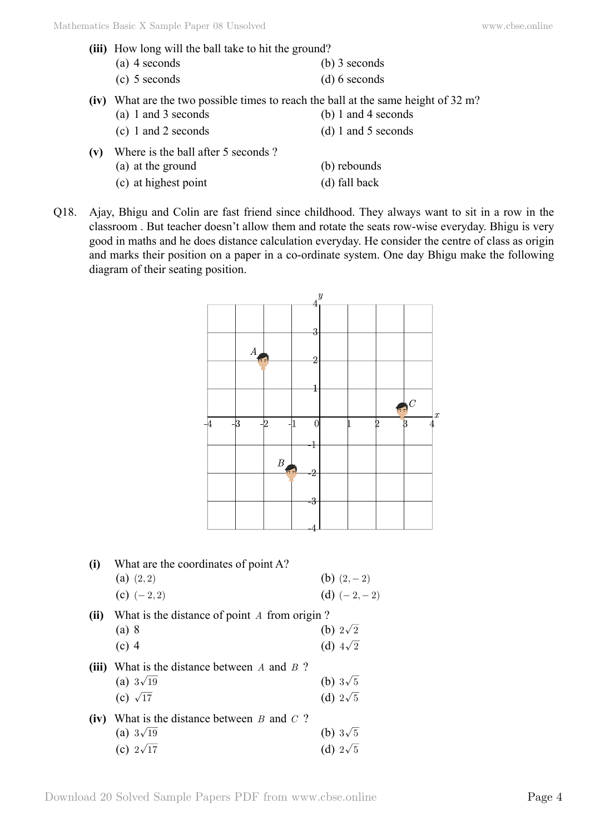- **(iii)** How long will the ball take to hit the ground? (a) 4 seconds (b) 3 seconds (c) 5 seconds (d) 6 seconds
- (iv) What are the two possible times to reach the ball at the same height of 32 m?<br>(a) 1 and 3 seconds (b) 1 and 4 seconds
- (a) 1 and 3 seconds (c) 1 and 2 seconds (d) 1 and 5 seconds **(v)** Where is the ball after 5 seconds ?
	- (a) at the ground (b) rebounds (c) at highest point (d) fall back
- Q18. Ajay, Bhigu and Colin are fast friend since childhood. They always want to sit in a row in the classroom . But teacher doesn't allow them and rotate the seats row-wise everyday. Bhigu is very good in maths and he does distance calculation everyday. He consider the centre of class as origin and marks their position on a paper in a co-ordinate system. One day Bhigu make the following diagram of their seating position.



| (i)   | What are the coordinates of point A?<br>(a) $(2,2)$ | (b) $(2,-2)$    |
|-------|-----------------------------------------------------|-----------------|
|       | (c) $(-2, 2)$                                       | (d) $(-2,-2)$   |
| (ii)  | What is the distance of point A from origin?        |                 |
|       | (a) 8                                               | (b) $2\sqrt{2}$ |
|       | $(c)$ 4                                             | (d) $4\sqrt{2}$ |
| (iii) | What is the distance between $A$ and $B$ ?          |                 |
|       | (a) $3\sqrt{19}$                                    | (b) $3\sqrt{5}$ |
|       | (c) $\sqrt{17}$                                     | (d) $2\sqrt{5}$ |
| (iv)  | What is the distance between $B$ and $C$ ?          |                 |
|       | (a) $3\sqrt{19}$                                    | (b) $3\sqrt{5}$ |
|       | (c) $2\sqrt{17}$                                    | (d) $2\sqrt{5}$ |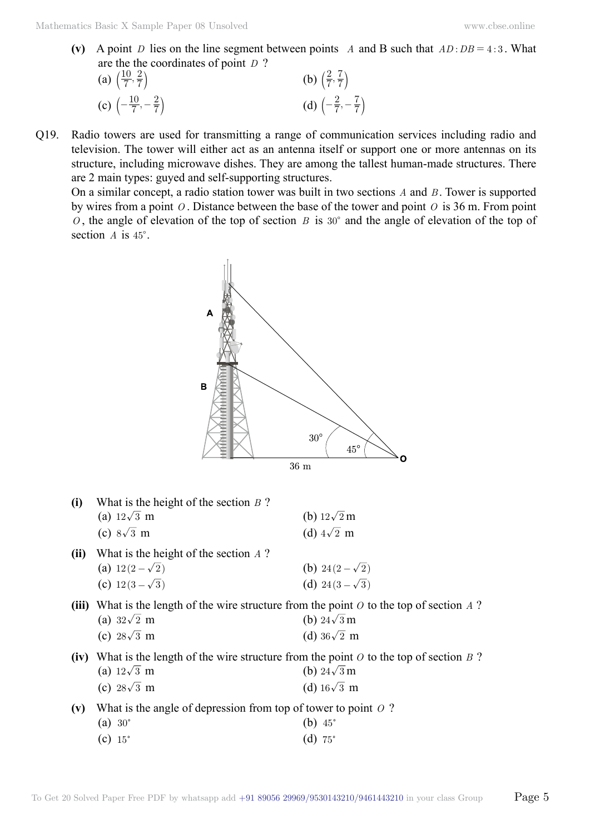(v) A point *D* lies on the line segment between points *A* and B such that  $AD : DB = 4 : 3$ . What are the the coordinates of point *D* ?

(a) 
$$
\left(\frac{10}{7}, \frac{2}{7}\right)
$$
  
\n(b)  $\left(\frac{2}{7}, \frac{7}{7}\right)$   
\n(c)  $\left(-\frac{10}{7}, -\frac{2}{7}\right)$   
\n(d)  $\left(-\frac{2}{7}, -\frac{7}{7}\right)$ 

Q19. Radio towers are used for transmitting a range of communication services including radio and television. The tower will either act as an antenna itself or support one or more antennas on its structure, including microwave dishes. They are among the tallest human-made structures. There are 2 main types: guyed and self-supporting structures.

On a similar concept, a radio station tower was built in two sections *A* and *B* . Tower is supported by wires from a point *O* . Distance between the base of the tower and point *O* is 36 m. From point  $O$ , the angle of elevation of the top of section *B* is 30° and the angle of elevation of the top of section *A* is  $45^\circ$ .



| (i)   | What is the height of the section $B$ ?                                                 |                       |  |
|-------|-----------------------------------------------------------------------------------------|-----------------------|--|
|       | (a) $12\sqrt{3}$ m                                                                      | (b) $12\sqrt{2}$ m    |  |
|       | (c) $8\sqrt{3}$ m                                                                       | (d) $4\sqrt{2}$ m     |  |
| (ii)  | What is the height of the section $\Lambda$ ?                                           |                       |  |
|       | (a) $12(2-\sqrt{2})$                                                                    | (b) 24 $(2-\sqrt{2})$ |  |
|       | (c) $12(3-\sqrt{3})$                                                                    | (d) $24(3-\sqrt{3})$  |  |
| (iii) | What is the length of the wire structure from the point $O$ to the top of section A?    |                       |  |
|       | (a) $32\sqrt{2}$ m                                                                      | (b) $24\sqrt{3}$ m    |  |
|       | (c) $28\sqrt{3}$ m                                                                      | (d) $36\sqrt{2}$ m    |  |
| (iv)  | What is the length of the wire structure from the point $O$ to the top of section $B$ ? |                       |  |
|       | (a) $12\sqrt{3}$ m                                                                      | (b) $24\sqrt{3}$ m    |  |
|       | (c) $28\sqrt{3}$ m                                                                      | (d) $16\sqrt{3}$ m    |  |
| (v)   | What is the angle of depression from top of tower to point $O$ ?                        |                       |  |
|       | $(a) 30^\circ$                                                                          | (b) $45^{\circ}$      |  |
|       | $(c) 15^\circ$                                                                          | (d) 75 $^{\circ}$     |  |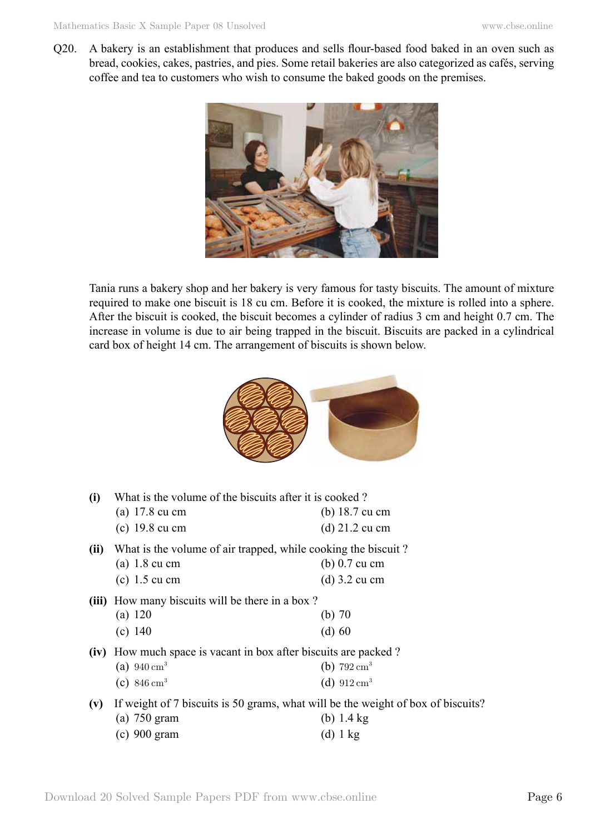Q20. A bakery is an establishment that produces and sells flour-based food baked in an oven such as bread, cookies, cakes, pastries, and pies. Some retail bakeries are also categorized as cafés, serving coffee and tea to customers who wish to consume the baked goods on the premises.



Tania runs a bakery shop and her bakery is very famous for tasty biscuits. The amount of mixture required to make one biscuit is 18 cu cm. Before it is cooked, the mixture is rolled into a sphere. After the biscuit is cooked, the biscuit becomes a cylinder of radius 3 cm and height 0.7 cm. The increase in volume is due to air being trapped in the biscuit. Biscuits are packed in a cylindrical card box of height 14 cm. The arrangement of biscuits is shown below.



| (i)   | What is the volume of the biscuits after it is cooked?<br>(a) $17.8 \text{ cu cm}$<br>$(c)$ 19.8 cu cm             | (b) $18.7 \text{ cu cm}$<br>$(d)$ 21.2 cu cm     |
|-------|--------------------------------------------------------------------------------------------------------------------|--------------------------------------------------|
| (ii)  | What is the volume of air trapped, while cooking the biscuit?<br>$(a)$ 1.8 cu cm<br>$(c)$ 1.5 cu cm                | $(b)$ 0.7 cu cm<br>$(d)$ 3.2 cu cm               |
| (iii) | How many biscuits will be there in a box?<br>(a) $120$<br>(c) 140                                                  | (b) $70$<br>(d) 60                               |
| (iv)  | How much space is vacant in box after biscuits are packed?<br>(a) $940 \text{ cm}^3$<br>(c) $846 \text{ cm}^3$     | (b) $792 \text{ cm}^3$<br>(d) $912 \text{ cm}^3$ |
| (v)   | If weight of 7 biscuits is 50 grams, what will be the weight of box of biscuits?<br>$(a)$ 750 gram<br>(c) 900 gram | (b) $1.4 \text{ kg}$<br>(d) 1 kg                 |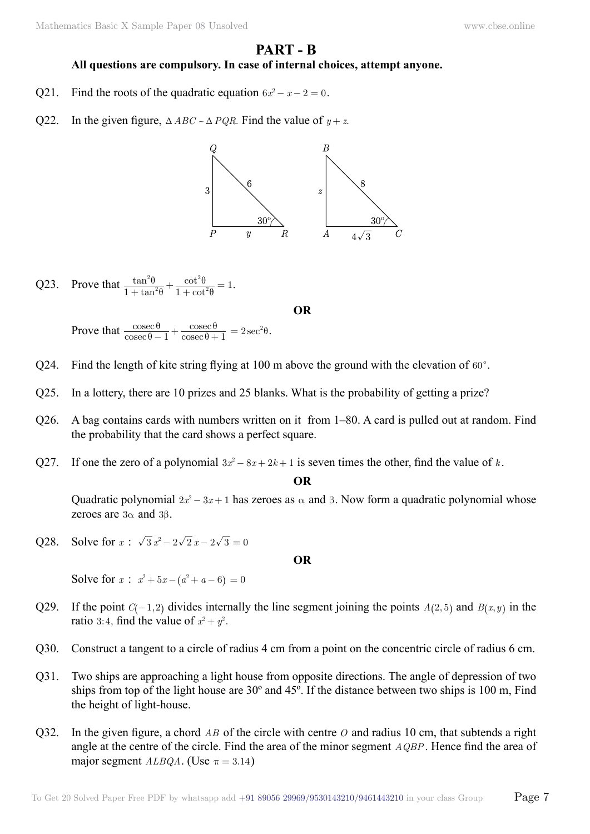# **Part - B**

### **All questions are compulsory. In case of internal choices, attempt anyone.**

- Q21. Find the roots of the quadratic equation  $6x^2 x 2 = 0$ .
- Q22. In the given figure,  $\triangle ABC \sim \triangle PQR$ . Find the value of  $y + z$ .



Q23. Prove that  $\frac{\tan \theta}{1 + \tan \theta}$ tan cot cot  $\frac{\tan^2\theta}{1+\tan^2\theta} + \frac{\cot^2\theta}{1+\cot^2\theta} = 1$ 2 2 θ θ θ θ  $\frac{\tan^{-1}\theta}{\tan^{-1}\theta} + \frac{\cot^{-1}\theta}{1 + \cot^{-1}\theta} = 1.$ 

 **O**

Prove that  $\frac{\cos \theta}{\cos \theta}$ cosec cosec cosec  $\theta - 1$   $\cos \theta + 1$ θ θ  $\frac{\theta}{-1} + \frac{\csc \theta}{\csc \theta + 1} = 2 \sec^2 \theta.$ 

- Q24. Find the length of kite string flying at 100 m above the ground with the elevation of  $60^\circ$ .
- Q25. In a lottery, there are 10 prizes and 25 blanks. What is the probability of getting a prize?
- Q26. A bag contains cards with numbers written on it from 1–80. A card is pulled out at random. Find the probability that the card shows a perfect square.
- Q27. If one the zero of a polynomial  $3x^2 8x + 2k + 1$  is seven times the other, find the value of *k*.

 **O**

Quadratic polynomial  $2x^2 - 3x + 1$  has zeroes as  $\alpha$  and  $\beta$ . Now form a quadratic polynomial whose zeroes are  $3\alpha$  and  $3\beta$ .

Q28. Solve for  $x : \sqrt{3} x^2 - 2\sqrt{2} x - 2\sqrt{3} = 0$ 

 **O**

Solve for  $x$  :  $x^2 + 5x - (a^2 + a - 6) = 0$ 

- Q29. If the point  $C(-1, 2)$  divides internally the line segment joining the points  $A(2, 5)$  and  $B(x, y)$  in the ratio 3:4, find the value of  $x^2 + y^2$ .
- Q30. Construct a tangent to a circle of radius 4 cm from a point on the concentric circle of radius 6 cm.
- Q31. Two ships are approaching a light house from opposite directions. The angle of depression of two ships from top of the light house are 30º and 45º. If the distance between two ships is 100 m, Find the height of light-house.
- Q32. In the given figure, a chord *AB* of the circle with centre *O* and radius 10 cm, that subtends a right angle at the centre of the circle. Find the area of the minor segment *AQBP*. Hence find the area of major segment *ALBQA*. (Use  $\pi = 3.14$ )